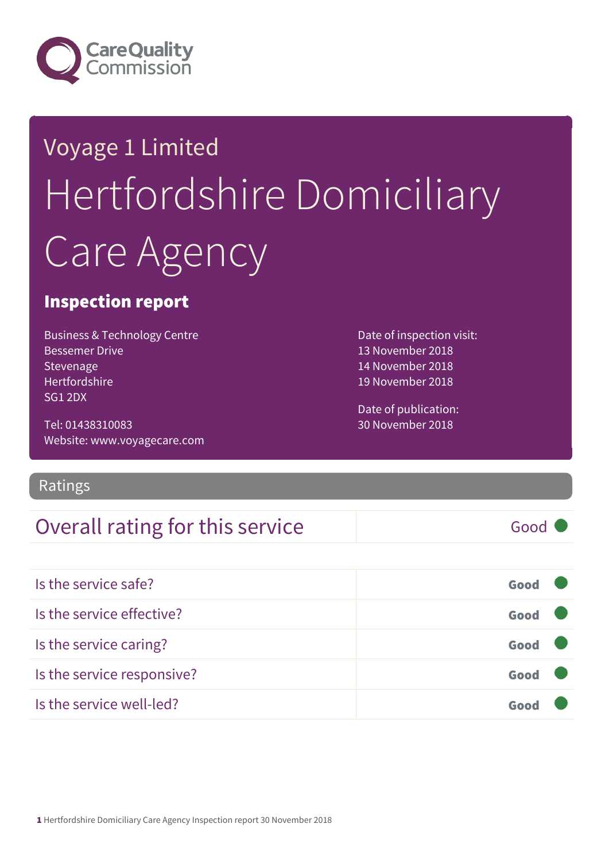

## Voyage 1 Limited Hertfordshire Domiciliary Care Agency

#### Inspection report

Business & Technology Centre Bessemer Drive Stevenage Hertfordshire SG1 2DX

Tel: 01438310083 Website: www.voyagecare.com

Ratings

#### Overall rating for this service Fig. 600 Good

Date of inspection visit: 13 November 2018 14 November 2018 19 November 2018

Date of publication: 30 November 2018

| Is the service safe?       | Good |  |
|----------------------------|------|--|
| Is the service effective?  | Good |  |
| Is the service caring?     | Good |  |
| Is the service responsive? | Good |  |
| Is the service well-led?   |      |  |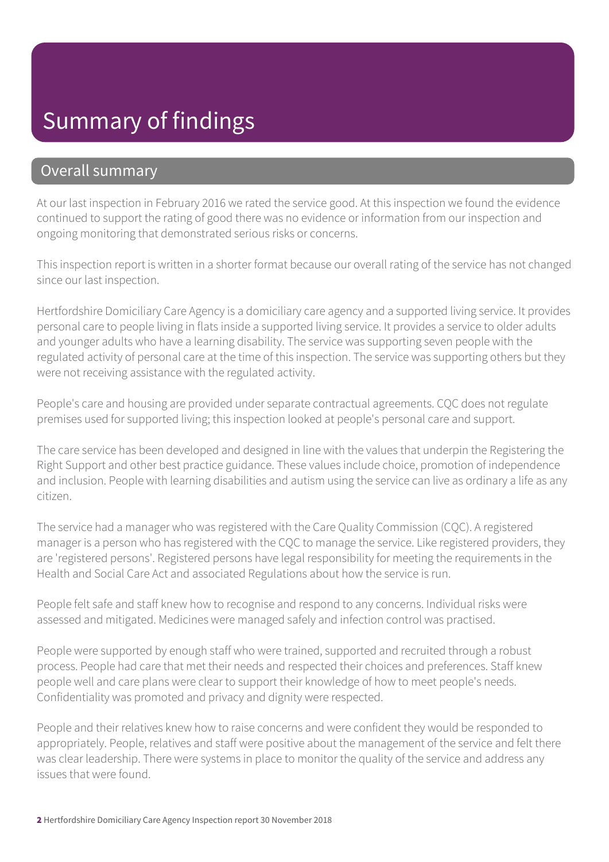#### Summary of findings

#### Overall summary

At our last inspection in February 2016 we rated the service good. At this inspection we found the evidence continued to support the rating of good there was no evidence or information from our inspection and ongoing monitoring that demonstrated serious risks or concerns.

This inspection report is written in a shorter format because our overall rating of the service has not changed since our last inspection.

Hertfordshire Domiciliary Care Agency is a domiciliary care agency and a supported living service. It provides personal care to people living in flats inside a supported living service. It provides a service to older adults and younger adults who have a learning disability. The service was supporting seven people with the regulated activity of personal care at the time of this inspection. The service was supporting others but they were not receiving assistance with the regulated activity.

People's care and housing are provided under separate contractual agreements. CQC does not regulate premises used for supported living; this inspection looked at people's personal care and support.

The care service has been developed and designed in line with the values that underpin the Registering the Right Support and other best practice guidance. These values include choice, promotion of independence and inclusion. People with learning disabilities and autism using the service can live as ordinary a life as any citizen.

The service had a manager who was registered with the Care Quality Commission (CQC). A registered manager is a person who has registered with the CQC to manage the service. Like registered providers, they are 'registered persons'. Registered persons have legal responsibility for meeting the requirements in the Health and Social Care Act and associated Regulations about how the service is run.

People felt safe and staff knew how to recognise and respond to any concerns. Individual risks were assessed and mitigated. Medicines were managed safely and infection control was practised.

People were supported by enough staff who were trained, supported and recruited through a robust process. People had care that met their needs and respected their choices and preferences. Staff knew people well and care plans were clear to support their knowledge of how to meet people's needs. Confidentiality was promoted and privacy and dignity were respected.

People and their relatives knew how to raise concerns and were confident they would be responded to appropriately. People, relatives and staff were positive about the management of the service and felt there was clear leadership. There were systems in place to monitor the quality of the service and address any issues that were found.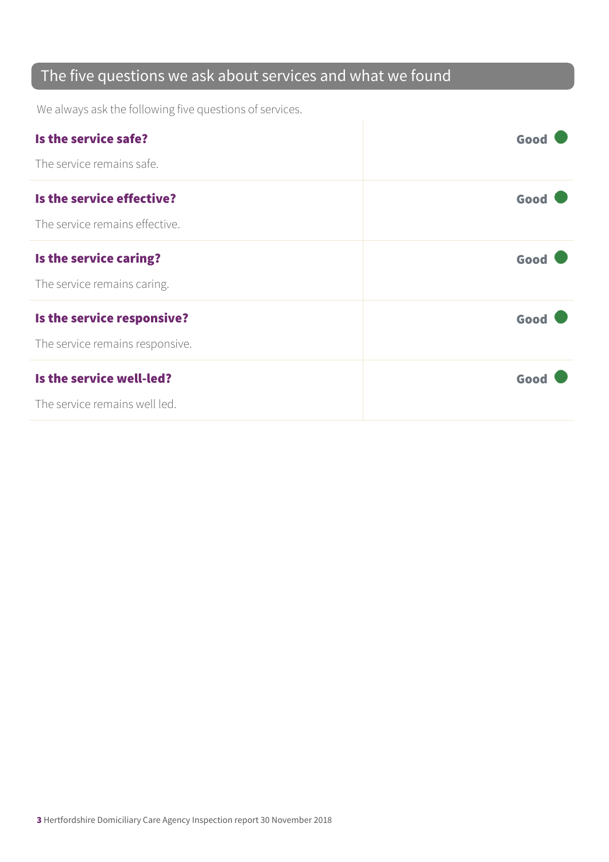#### The five questions we ask about services and what we found

We always ask the following five questions of services.

| Is the service safe?            | Good |
|---------------------------------|------|
| The service remains safe.       |      |
| Is the service effective?       | Good |
| The service remains effective.  |      |
| Is the service caring?          | Good |
| The service remains caring.     |      |
| Is the service responsive?      | Good |
| The service remains responsive. |      |
| Is the service well-led?        | Good |
| The service remains well led.   |      |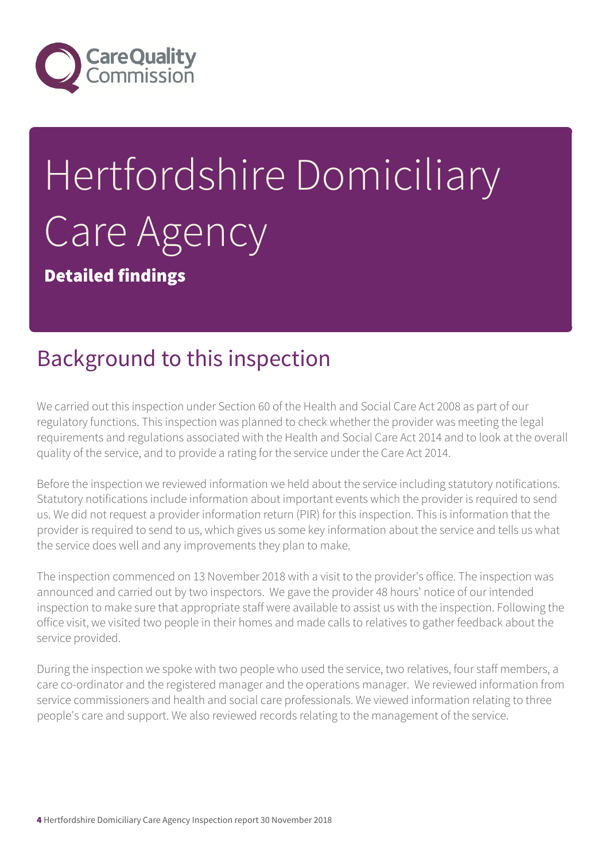

# Hertfordshire Domiciliary Care Agency

Detailed findings

#### Background to this inspection

We carried out this inspection under Section 60 of the Health and Social Care Act 2008 as part of our regulatory functions. This inspection was planned to check whether the provider was meeting the legal requirements and regulations associated with the Health and Social Care Act 2014 and to look at the overall quality of the service, and to provide a rating for the service under the Care Act 2014.

Before the inspection we reviewed information we held about the service including statutory notifications. Statutory notifications include information about important events which the provider is required to send us. We did not request a provider information return (PIR) for this inspection. This is information that the provider is required to send to us, which gives us some key information about the service and tells us what the service does well and any improvements they plan to make.

The inspection commenced on 13 November 2018 with a visit to the provider's office. The inspection was announced and carried out by two inspectors. We gave the provider 48 hours' notice of our intended inspection to make sure that appropriate staff were available to assist us with the inspection. Following the office visit, we visited two people in their homes and made calls to relatives to gather feedback about the service provided.

During the inspection we spoke with two people who used the service, two relatives, four staff members, a care co-ordinator and the registered manager and the operations manager. We reviewed information from service commissioners and health and social care professionals. We viewed information relating to three people's care and support. We also reviewed records relating to the management of the service.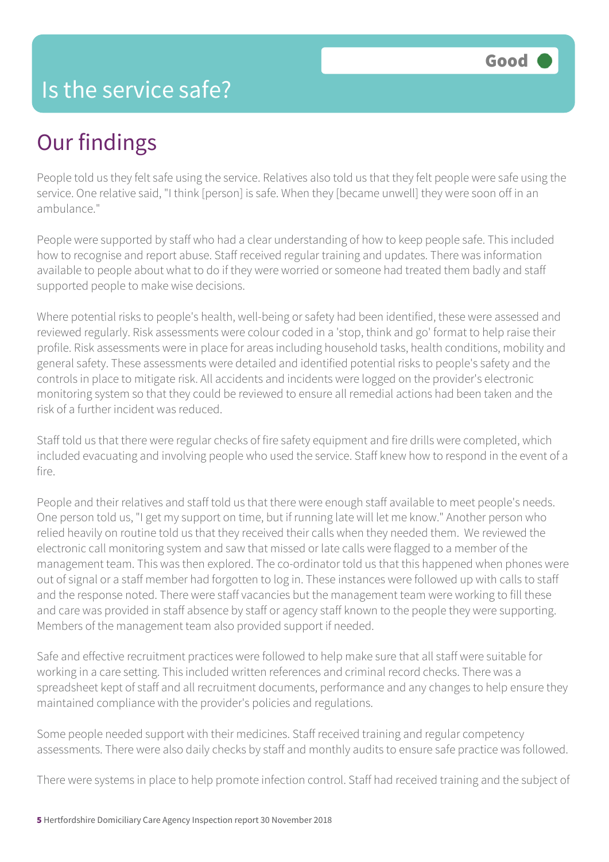#### Is the service safe?

## Our findings

People told us they felt safe using the service. Relatives also told us that they felt people were safe using the service. One relative said, "I think [person] is safe. When they [became unwell] they were soon off in an ambulance."

People were supported by staff who had a clear understanding of how to keep people safe. This included how to recognise and report abuse. Staff received regular training and updates. There was information available to people about what to do if they were worried or someone had treated them badly and staff supported people to make wise decisions.

Where potential risks to people's health, well-being or safety had been identified, these were assessed and reviewed regularly. Risk assessments were colour coded in a 'stop, think and go' format to help raise their profile. Risk assessments were in place for areas including household tasks, health conditions, mobility and general safety. These assessments were detailed and identified potential risks to people's safety and the controls in place to mitigate risk. All accidents and incidents were logged on the provider's electronic monitoring system so that they could be reviewed to ensure all remedial actions had been taken and the risk of a further incident was reduced.

Staff told us that there were regular checks of fire safety equipment and fire drills were completed, which included evacuating and involving people who used the service. Staff knew how to respond in the event of a fire.

People and their relatives and staff told us that there were enough staff available to meet people's needs. One person told us, "I get my support on time, but if running late will let me know." Another person who relied heavily on routine told us that they received their calls when they needed them. We reviewed the electronic call monitoring system and saw that missed or late calls were flagged to a member of the management team. This was then explored. The co-ordinator told us that this happened when phones were out of signal or a staff member had forgotten to log in. These instances were followed up with calls to staff and the response noted. There were staff vacancies but the management team were working to fill these and care was provided in staff absence by staff or agency staff known to the people they were supporting. Members of the management team also provided support if needed.

Safe and effective recruitment practices were followed to help make sure that all staff were suitable for working in a care setting. This included written references and criminal record checks. There was a spreadsheet kept of staff and all recruitment documents, performance and any changes to help ensure they maintained compliance with the provider's policies and regulations.

Some people needed support with their medicines. Staff received training and regular competency assessments. There were also daily checks by staff and monthly audits to ensure safe practice was followed.

There were systems in place to help promote infection control. Staff had received training and the subject of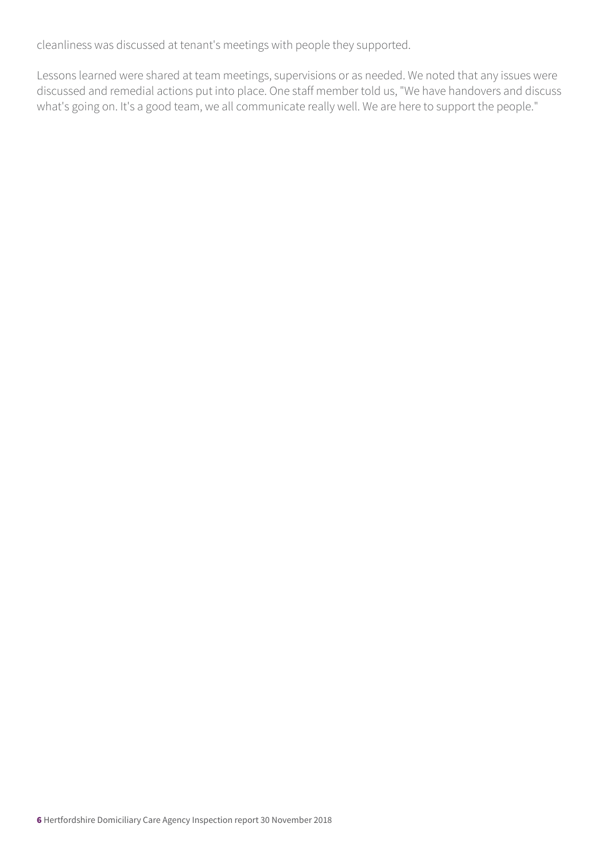cleanliness was discussed at tenant's meetings with people they supported.

Lessons learned were shared at team meetings, supervisions or as needed. We noted that any issues were discussed and remedial actions put into place. One staff member told us, "We have handovers and discuss what's going on. It's a good team, we all communicate really well. We are here to support the people."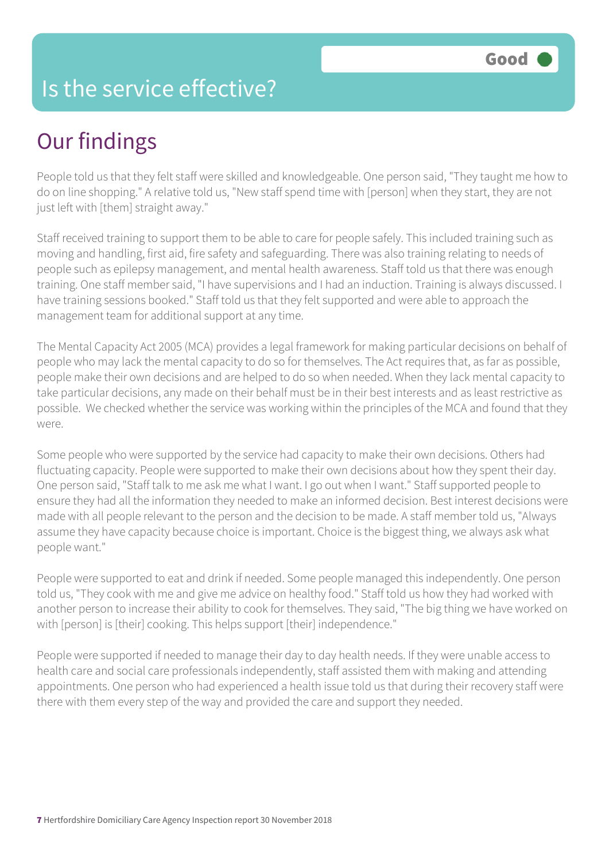#### Is the service effective?

## Our findings

People told us that they felt staff were skilled and knowledgeable. One person said, "They taught me how to do on line shopping." A relative told us, "New staff spend time with [person] when they start, they are not just left with [them] straight away."

Staff received training to support them to be able to care for people safely. This included training such as moving and handling, first aid, fire safety and safeguarding. There was also training relating to needs of people such as epilepsy management, and mental health awareness. Staff told us that there was enough training. One staff member said, "I have supervisions and I had an induction. Training is always discussed. I have training sessions booked." Staff told us that they felt supported and were able to approach the management team for additional support at any time.

The Mental Capacity Act 2005 (MCA) provides a legal framework for making particular decisions on behalf of people who may lack the mental capacity to do so for themselves. The Act requires that, as far as possible, people make their own decisions and are helped to do so when needed. When they lack mental capacity to take particular decisions, any made on their behalf must be in their best interests and as least restrictive as possible. We checked whether the service was working within the principles of the MCA and found that they were.

Some people who were supported by the service had capacity to make their own decisions. Others had fluctuating capacity. People were supported to make their own decisions about how they spent their day. One person said, "Staff talk to me ask me what I want. I go out when I want." Staff supported people to ensure they had all the information they needed to make an informed decision. Best interest decisions were made with all people relevant to the person and the decision to be made. A staff member told us, "Always assume they have capacity because choice is important. Choice is the biggest thing, we always ask what people want."

People were supported to eat and drink if needed. Some people managed this independently. One person told us, "They cook with me and give me advice on healthy food." Staff told us how they had worked with another person to increase their ability to cook for themselves. They said, "The big thing we have worked on with [person] is [their] cooking. This helps support [their] independence."

People were supported if needed to manage their day to day health needs. If they were unable access to health care and social care professionals independently, staff assisted them with making and attending appointments. One person who had experienced a health issue told us that during their recovery staff were there with them every step of the way and provided the care and support they needed.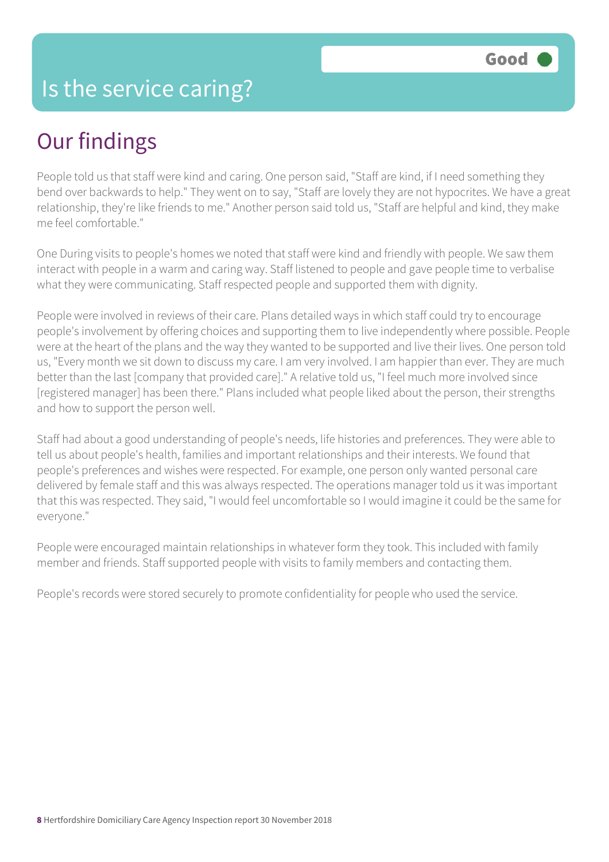## Our findings

People told us that staff were kind and caring. One person said, "Staff are kind, if I need something they bend over backwards to help." They went on to say, "Staff are lovely they are not hypocrites. We have a great relationship, they're like friends to me." Another person said told us, "Staff are helpful and kind, they make me feel comfortable."

One During visits to people's homes we noted that staff were kind and friendly with people. We saw them interact with people in a warm and caring way. Staff listened to people and gave people time to verbalise what they were communicating. Staff respected people and supported them with dignity.

People were involved in reviews of their care. Plans detailed ways in which staff could try to encourage people's involvement by offering choices and supporting them to live independently where possible. People were at the heart of the plans and the way they wanted to be supported and live their lives. One person told us, "Every month we sit down to discuss my care. I am very involved. I am happier than ever. They are much better than the last [company that provided care]." A relative told us, "I feel much more involved since [registered manager] has been there." Plans included what people liked about the person, their strengths and how to support the person well.

Staff had about a good understanding of people's needs, life histories and preferences. They were able to tell us about people's health, families and important relationships and their interests. We found that people's preferences and wishes were respected. For example, one person only wanted personal care delivered by female staff and this was always respected. The operations manager told us it was important that this was respected. They said, "I would feel uncomfortable so I would imagine it could be the same for everyone."

People were encouraged maintain relationships in whatever form they took. This included with family member and friends. Staff supported people with visits to family members and contacting them.

People's records were stored securely to promote confidentiality for people who used the service.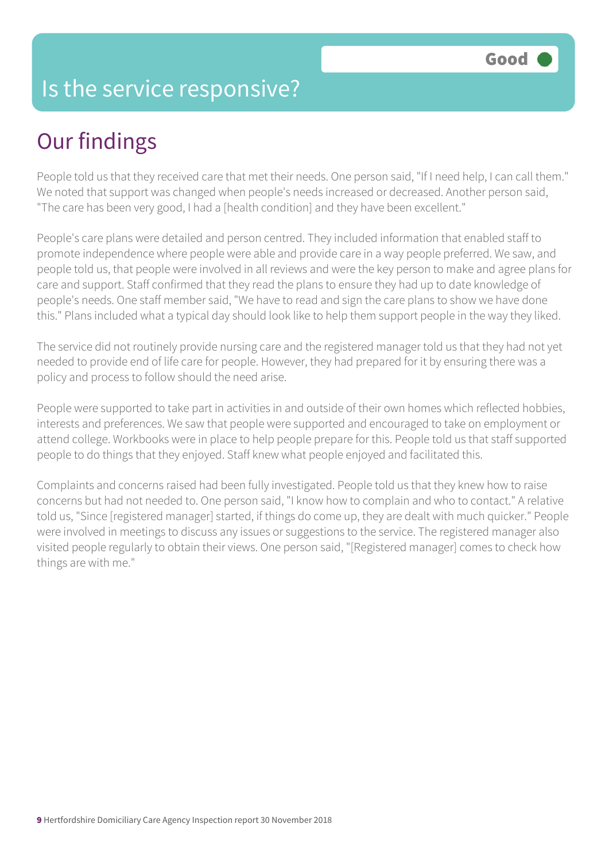#### Is the service responsive?

## Our findings

People told us that they received care that met their needs. One person said, "If I need help, I can call them." We noted that support was changed when people's needs increased or decreased. Another person said, "The care has been very good, I had a [health condition] and they have been excellent."

People's care plans were detailed and person centred. They included information that enabled staff to promote independence where people were able and provide care in a way people preferred. We saw, and people told us, that people were involved in all reviews and were the key person to make and agree plans for care and support. Staff confirmed that they read the plans to ensure they had up to date knowledge of people's needs. One staff member said, "We have to read and sign the care plans to show we have done this." Plans included what a typical day should look like to help them support people in the way they liked.

The service did not routinely provide nursing care and the registered manager told us that they had not yet needed to provide end of life care for people. However, they had prepared for it by ensuring there was a policy and process to follow should the need arise.

People were supported to take part in activities in and outside of their own homes which reflected hobbies, interests and preferences. We saw that people were supported and encouraged to take on employment or attend college. Workbooks were in place to help people prepare for this. People told us that staff supported people to do things that they enjoyed. Staff knew what people enjoyed and facilitated this.

Complaints and concerns raised had been fully investigated. People told us that they knew how to raise concerns but had not needed to. One person said, "I know how to complain and who to contact." A relative told us, "Since [registered manager] started, if things do come up, they are dealt with much quicker." People were involved in meetings to discuss any issues or suggestions to the service. The registered manager also visited people regularly to obtain their views. One person said, "[Registered manager] comes to check how things are with me."